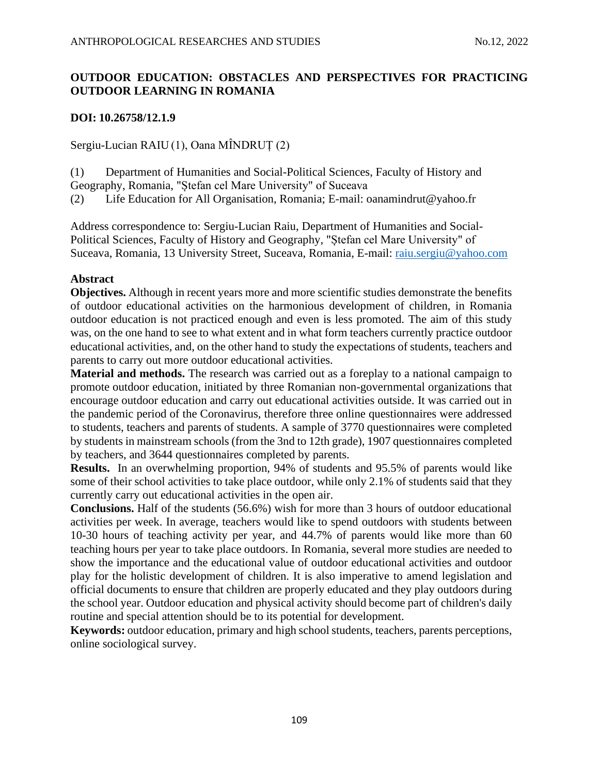# **OUTDOOR EDUCATION: OBSTACLES AND PERSPECTIVES FOR PRACTICING OUTDOOR LEARNING IN ROMANIA**

## **DOI: 10.26758/12.1.9**

Sergiu-Lucian RAIU (1), Oana MÎNDRUȚ (2)

(1) Department of Humanities and Social-Political Sciences, Faculty of History and Geography, Romania, "Ștefan cel Mare University" of Suceava

(2) Life Education for All Organisation, Romania; E-mail: oanamindrut@yahoo.fr

Address correspondence to: Sergiu-Lucian Raiu, Department of Humanities and Social-Political Sciences, Faculty of History and Geography, "Ștefan cel Mare University" of Suceava, Romania, 13 University Street, Suceava, Romania, E-mail: [raiu.sergiu@yahoo.com](mailto:raiu.sergiu@yahoo.com)

## **Abstract**

**Objectives.** Although in recent years more and more scientific studies demonstrate the benefits of outdoor educational activities on the harmonious development of children, in Romania outdoor education is not practiced enough and even is less promoted. The aim of this study was, on the one hand to see to what extent and in what form teachers currently practice outdoor educational activities, and, on the other hand to study the expectations of students, teachers and parents to carry out more outdoor educational activities.

**Material and methods.** The research was carried out as a foreplay to a national campaign to promote outdoor education, initiated by three Romanian non-governmental organizations that encourage outdoor education and carry out educational activities outside. It was carried out in the pandemic period of the Coronavirus, therefore three online questionnaires were addressed to students, teachers and parents of students. A sample of 3770 questionnaires were completed by students in mainstream schools (from the 3nd to 12th grade), 1907 questionnaires completed by teachers, and 3644 questionnaires completed by parents.

**Results.** In an overwhelming proportion, 94% of students and 95.5% of parents would like some of their school activities to take place outdoor, while only 2.1% of students said that they currently carry out educational activities in the open air.

**Conclusions.** Half of the students (56.6%) wish for more than 3 hours of outdoor educational activities per week. In average, teachers would like to spend outdoors with students between 10-30 hours of teaching activity per year, and 44.7% of parents would like more than 60 teaching hours per year to take place outdoors. In Romania, several more studies are needed to show the importance and the educational value of outdoor educational activities and outdoor play for the holistic development of children. It is also imperative to amend legislation and official documents to ensure that children are properly educated and they play outdoors during the school year. Outdoor education and physical activity should become part of children's daily routine and special attention should be to its potential for development.

**Keywords:** outdoor education, primary and high school students, teachers, parents perceptions, online sociological survey.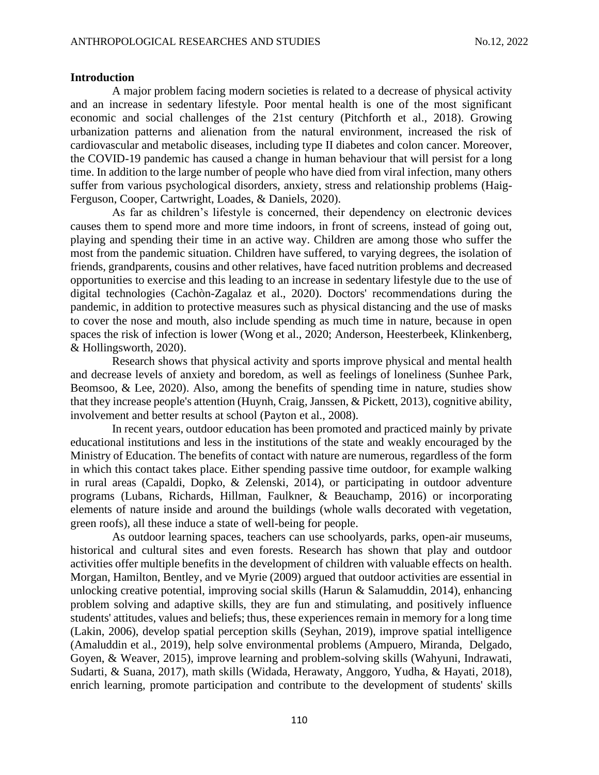#### **Introduction**

A major problem facing modern societies is related to a decrease of physical activity and an increase in sedentary lifestyle. Poor mental health is one of the most significant economic and social challenges of the 21st century (Pitchforth et al., 2018). Growing urbanization patterns and alienation from the natural environment, increased the risk of cardiovascular and metabolic diseases, including type II diabetes and colon cancer. Moreover, the COVID-19 pandemic has caused a change in human behaviour that will persist for a long time. In addition to the large number of people who have died from viral infection, many others suffer from various psychological disorders, anxiety, stress and relationship problems (Haig-Ferguson, Cooper, Cartwright, Loades, & Daniels, 2020).

As far as children's lifestyle is concerned, their dependency on electronic devices causes them to spend more and more time indoors, in front of screens, instead of going out, playing and spending their time in an active way. Children are among those who suffer the most from the pandemic situation. Children have suffered, to varying degrees, the isolation of friends, grandparents, cousins and other relatives, have faced nutrition problems and decreased opportunities to exercise and this leading to an increase in sedentary lifestyle due to the use of digital technologies (Cachòn-Zagalaz et al., 2020). Doctors' recommendations during the pandemic, in addition to protective measures such as physical distancing and the use of masks to cover the nose and mouth, also include spending as much time in nature, because in open spaces the risk of infection is lower (Wong et al., 2020; Anderson, Heesterbeek, Klinkenberg, & Hollingsworth, 2020).

Research shows that physical activity and sports improve physical and mental health and decrease levels of anxiety and boredom, as well as feelings of loneliness (Sunhee Park, Beomsoo, & Lee, 2020). Also, among the benefits of spending time in nature, studies show that they increase people's attention (Huynh, Craig, Janssen, & Pickett, 2013), cognitive ability, involvement and better results at school (Payton et al., 2008).

In recent years, outdoor education has been promoted and practiced mainly by private educational institutions and less in the institutions of the state and weakly encouraged by the Ministry of Education. The benefits of contact with nature are numerous, regardless of the form in which this contact takes place. Either spending passive time outdoor, for example walking in rural areas (Capaldi, Dopko, & Zelenski, 2014), or participating in outdoor adventure programs (Lubans, Richards, Hillman, Faulkner, & Beauchamp, 2016) or incorporating elements of nature inside and around the buildings (whole walls decorated with vegetation, green roofs), all these induce a state of well-being for people.

As outdoor learning spaces, teachers can use schoolyards, parks, open-air museums, historical and cultural sites and even forests. Research has shown that play and outdoor activities offer multiple benefits in the development of children with valuable effects on health. Morgan, Hamilton, Bentley, and ve Myrie (2009) argued that outdoor activities are essential in unlocking creative potential, improving social skills (Harun & Salamuddin, 2014), enhancing problem solving and adaptive skills, they are fun and stimulating, and positively influence students' attitudes, values and beliefs; thus, these experiences remain in memory for a long time (Lakin, 2006), develop spatial perception skills (Seyhan, 2019), improve spatial intelligence (Amaluddin et al., 2019), help solve environmental problems (Ampuero, Miranda, Delgado, Goyen, & Weaver, 2015), improve learning and problem-solving skills (Wahyuni, Indrawati, Sudarti, & Suana, 2017), math skills (Widada, Herawaty, Anggoro, Yudha, & Hayati, 2018), enrich learning, promote participation and contribute to the development of students' skills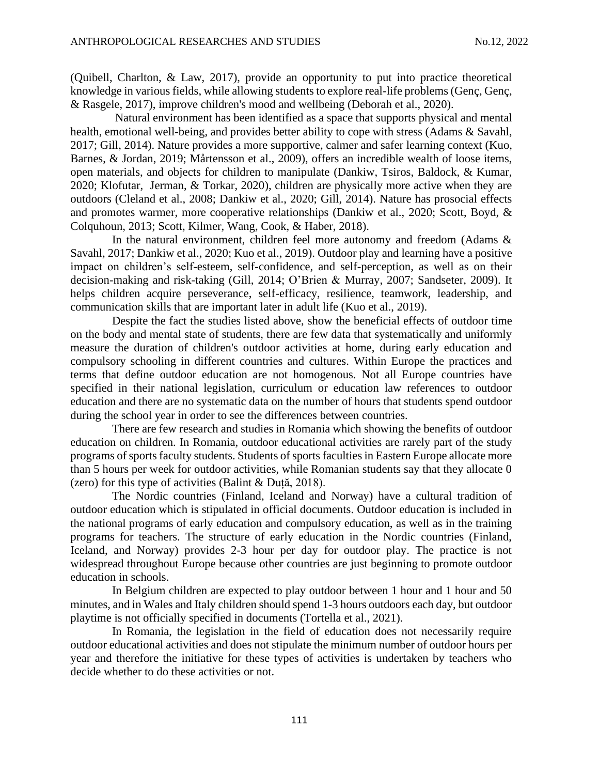(Quibell, Charlton, & Law, 2017), provide an opportunity to put into practice theoretical knowledge in various fields, while allowing students to explore real-life problems (Genç, Genç, & Rasgele, 2017), improve children's mood and wellbeing (Deborah et al., 2020).

Natural environment has been identified as a space that supports physical and mental health, emotional well-being, and provides better ability to cope with stress (Adams & Savahl, 2017; Gill, 2014). Nature provides a more supportive, calmer and safer learning context (Kuo, Barnes, & Jordan, 2019; Mårtensson et al., 2009), offers an incredible wealth of loose items, open materials, and objects for children to manipulate (Dankiw, Tsiros, Baldock, & Kumar, 2020; Klofutar, Jerman, & Torkar, 2020), children are physically more active when they are outdoors (Cleland et al., 2008; Dankiw et al., 2020; Gill, 2014). Nature has prosocial effects and promotes warmer, more cooperative relationships (Dankiw et al., 2020; Scott, Boyd, & Colquhoun, 2013; Scott, Kilmer, Wang, Cook, & Haber, 2018).

In the natural environment, children feel more autonomy and freedom (Adams & Savahl, 2017; Dankiw et al., 2020; Kuo et al., 2019). Outdoor play and learning have a positive impact on children's self-esteem, self-confidence, and self-perception, as well as on their decision-making and risk-taking (Gill, 2014; O'Brien & Murray, 2007; Sandseter, 2009). It helps children acquire perseverance, self-efficacy, resilience, teamwork, leadership, and communication skills that are important later in adult life (Kuo et al., 2019).

Despite the fact the studies listed above, show the beneficial effects of outdoor time on the body and mental state of students, there are few data that systematically and uniformly measure the duration of children's outdoor activities at home, during early education and compulsory schooling in different countries and cultures. Within Europe the practices and terms that define outdoor education are not homogenous. Not all Europe countries have specified in their national legislation, curriculum or education law references to outdoor education and there are no systematic data on the number of hours that students spend outdoor during the school year in order to see the differences between countries.

There are few research and studies in Romania which showing the benefits of outdoor education on children. In Romania, outdoor educational activities are rarely part of the study programs of sports faculty students. Students of sports faculties in Eastern Europe allocate more than 5 hours per week for outdoor activities, while Romanian students say that they allocate 0 (zero) for this type of activities (Balint & Duță, 2018).

The Nordic countries (Finland, Iceland and Norway) have a cultural tradition of outdoor education which is stipulated in official documents. Outdoor education is included in the national programs of early education and compulsory education, as well as in the training programs for teachers. The structure of early education in the Nordic countries (Finland, Iceland, and Norway) provides 2-3 hour per day for outdoor play. The practice is not widespread throughout Europe because other countries are just beginning to promote outdoor education in schools.

In Belgium children are expected to play outdoor between 1 hour and 1 hour and 50 minutes, and in Wales and Italy children should spend 1-3 hours outdoors each day, but outdoor playtime is not officially specified in documents (Tortella et al., 2021).

In Romania, the legislation in the field of education does not necessarily require outdoor educational activities and does not stipulate the minimum number of outdoor hours per year and therefore the initiative for these types of activities is undertaken by teachers who decide whether to do these activities or not.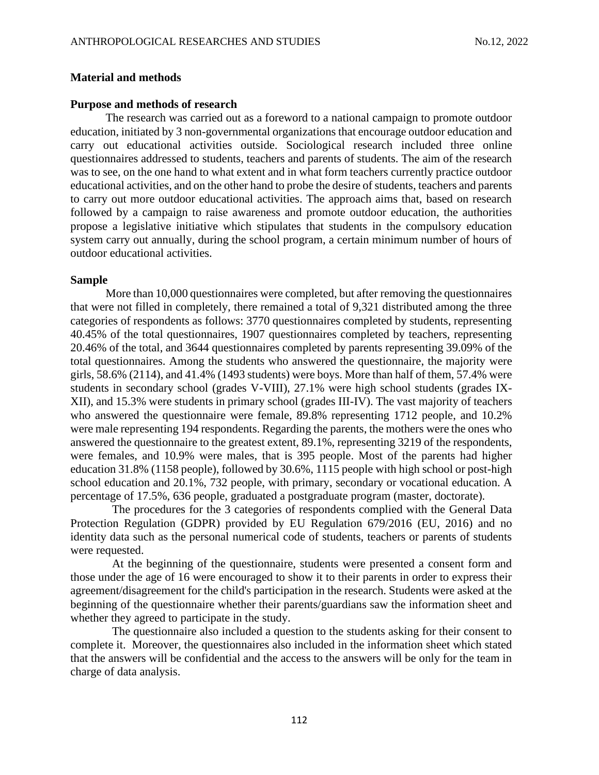## **Material and methods**

#### **Purpose and methods of research**

The research was carried out as a foreword to a national campaign to promote outdoor education, initiated by 3 non-governmental organizations that encourage outdoor education and carry out educational activities outside. Sociological research included three online questionnaires addressed to students, teachers and parents of students. The aim of the research was to see, on the one hand to what extent and in what form teachers currently practice outdoor educational activities, and on the other hand to probe the desire of students, teachers and parents to carry out more outdoor educational activities. The approach aims that, based on research followed by a campaign to raise awareness and promote outdoor education, the authorities propose a legislative initiative which stipulates that students in the compulsory education system carry out annually, during the school program, a certain minimum number of hours of outdoor educational activities.

### **Sample**

More than 10,000 questionnaires were completed, but after removing the questionnaires that were not filled in completely, there remained a total of 9,321 distributed among the three categories of respondents as follows: 3770 questionnaires completed by students, representing 40.45% of the total questionnaires, 1907 questionnaires completed by teachers, representing 20.46% of the total, and 3644 questionnaires completed by parents representing 39.09% of the total questionnaires. Among the students who answered the questionnaire, the majority were girls, 58.6% (2114), and 41.4% (1493 students) were boys. More than half of them, 57.4% were students in secondary school (grades V-VIII), 27.1% were high school students (grades IX-XII), and 15.3% were students in primary school (grades III-IV). The vast majority of teachers who answered the questionnaire were female, 89.8% representing 1712 people, and 10.2% were male representing 194 respondents. Regarding the parents, the mothers were the ones who answered the questionnaire to the greatest extent, 89.1%, representing 3219 of the respondents, were females, and 10.9% were males, that is 395 people. Most of the parents had higher education 31.8% (1158 people), followed by 30.6%, 1115 people with high school or post-high school education and 20.1%, 732 people, with primary, secondary or vocational education. A percentage of 17.5%, 636 people, graduated a postgraduate program (master, doctorate).

The procedures for the 3 categories of respondents complied with the General Data Protection Regulation (GDPR) provided by EU Regulation 679/2016 (EU, 2016) and no identity data such as the personal numerical code of students, teachers or parents of students were requested.

At the beginning of the questionnaire, students were presented a consent form and those under the age of 16 were encouraged to show it to their parents in order to express their agreement/disagreement for the child's participation in the research. Students were asked at the beginning of the questionnaire whether their parents/guardians saw the information sheet and whether they agreed to participate in the study.

The questionnaire also included a question to the students asking for their consent to complete it. Moreover, the questionnaires also included in the information sheet which stated that the answers will be confidential and the access to the answers will be only for the team in charge of data analysis.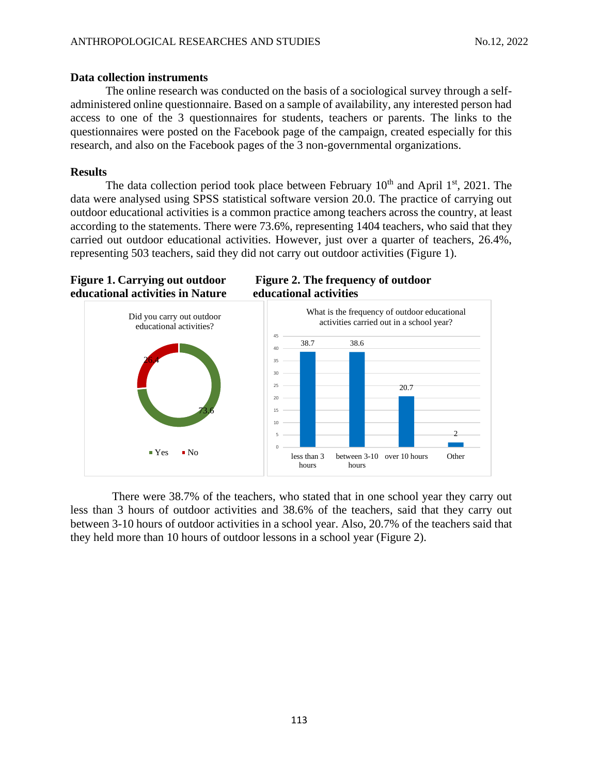## **Data collection instruments**

The online research was conducted on the basis of a sociological survey through a selfadministered online questionnaire. Based on a sample of availability, any interested person had access to one of the 3 questionnaires for students, teachers or parents. The links to the questionnaires were posted on the Facebook page of the campaign, created especially for this research, and also on the Facebook pages of the 3 non-governmental organizations.

## **Results**

The data collection period took place between February  $10<sup>th</sup>$  and April  $1<sup>st</sup>$ , 2021. The data were analysed using SPSS statistical software version 20.0. The practice of carrying out outdoor educational activities is a common practice among teachers across the country, at least according to the statements. There were 73.6%, representing 1404 teachers, who said that they carried out outdoor educational activities. However, just over a quarter of teachers, 26.4%, representing 503 teachers, said they did not carry out outdoor activities (Figure 1).



**Figure 1. Carrying out outdoor Figure 2. The frequency of outdoor** 



There were 38.7% of the teachers, who stated that in one school year they carry out less than 3 hours of outdoor activities and 38.6% of the teachers, said that they carry out between 3-10 hours of outdoor activities in a school year. Also, 20.7% of the teachers said that they held more than 10 hours of outdoor lessons in a school year (Figure 2).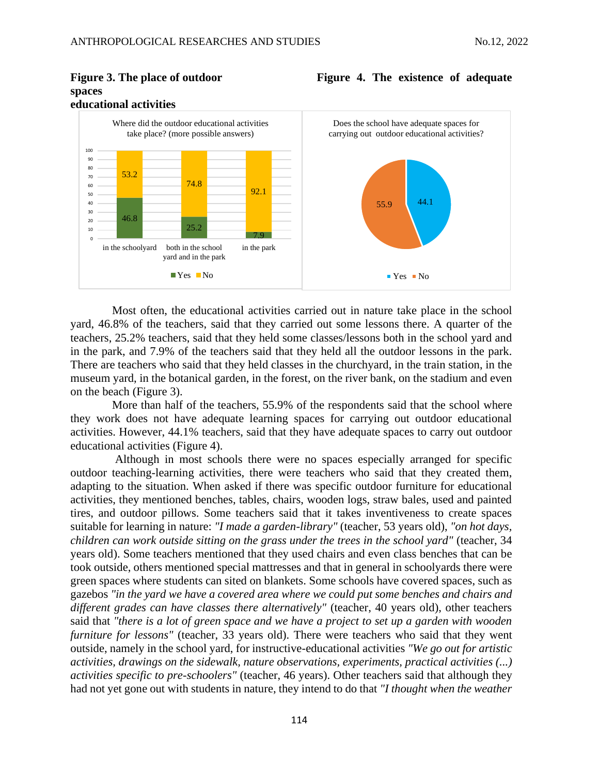# **spaces educational activities**



Most often, the educational activities carried out in nature take place in the school yard, 46.8% of the teachers, said that they carried out some lessons there. A quarter of the teachers, 25.2% teachers, said that they held some classes/lessons both in the school yard and in the park, and 7.9% of the teachers said that they held all the outdoor lessons in the park. There are teachers who said that they held classes in the churchyard, in the train station, in the museum yard, in the botanical garden, in the forest, on the river bank, on the stadium and even on the beach (Figure 3).

More than half of the teachers, 55.9% of the respondents said that the school where they work does not have adequate learning spaces for carrying out outdoor educational activities. However, 44.1% teachers, said that they have adequate spaces to carry out outdoor educational activities (Figure 4).

Although in most schools there were no spaces especially arranged for specific outdoor teaching-learning activities, there were teachers who said that they created them, adapting to the situation. When asked if there was specific outdoor furniture for educational activities, they mentioned benches, tables, chairs, wooden logs, straw bales, used and painted tires, and outdoor pillows. Some teachers said that it takes inventiveness to create spaces suitable for learning in nature: *"I made a garden-library"* (teacher, 53 years old), *"on hot days, children can work outside sitting on the grass under the trees in the school yard"* (teacher, 34 years old). Some teachers mentioned that they used chairs and even class benches that can be took outside, others mentioned special mattresses and that in general in schoolyards there were green spaces where students can sited on blankets. Some schools have covered spaces, such as gazebos *"in the yard we have a covered area where we could put some benches and chairs and different grades can have classes there alternatively"* (teacher, 40 years old), other teachers said that *"there is a lot of green space and we have a project to set up a garden with wooden furniture for lessons"* (teacher, 33 years old). There were teachers who said that they went outside, namely in the school yard, for instructive-educational activities *"We go out for artistic activities, drawings on the sidewalk, nature observations, experiments, practical activities (...) activities specific to pre-schoolers"* (teacher, 46 years). Other teachers said that although they had not yet gone out with students in nature, they intend to do that *"I thought when the weather* 

## **Figure 3. The place of outdoor Figure 4. The existence of adequate**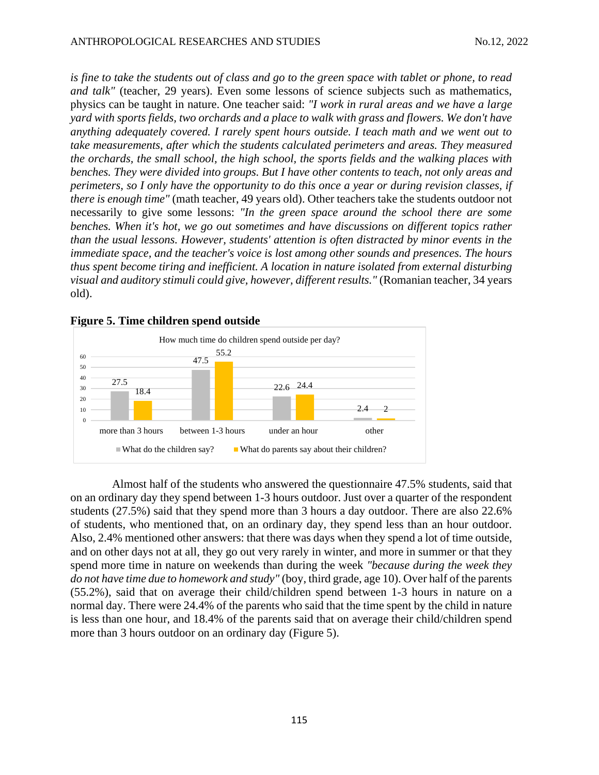*is fine to take the students out of class and go to the green space with tablet or phone, to read and talk"* (teacher, 29 years). Even some lessons of science subjects such as mathematics, physics can be taught in nature. One teacher said: *"I work in rural areas and we have a large yard with sports fields, two orchards and a place to walk with grass and flowers. We don't have anything adequately covered. I rarely spent hours outside. I teach math and we went out to take measurements, after which the students calculated perimeters and areas. They measured the orchards, the small school, the high school, the sports fields and the walking places with benches. They were divided into groups. But I have other contents to teach, not only areas and perimeters, so I only have the opportunity to do this once a year or during revision classes, if there is enough time"* (math teacher, 49 years old). Other teachers take the students outdoor not necessarily to give some lessons: *"In the green space around the school there are some benches. When it's hot, we go out sometimes and have discussions on different topics rather than the usual lessons. However, students' attention is often distracted by minor events in the immediate space, and the teacher's voice is lost among other sounds and presences. The hours thus spent become tiring and inefficient. A location in nature isolated from external disturbing visual and auditory stimuli could give, however, different results."* (Romanian teacher, 34 years old).





Almost half of the students who answered the questionnaire 47.5% students, said that on an ordinary day they spend between 1-3 hours outdoor. Just over a quarter of the respondent students (27.5%) said that they spend more than 3 hours a day outdoor. There are also 22.6% of students, who mentioned that, on an ordinary day, they spend less than an hour outdoor. Also, 2.4% mentioned other answers: that there was days when they spend a lot of time outside, and on other days not at all, they go out very rarely in winter, and more in summer or that they spend more time in nature on weekends than during the week *"because during the week they do not have time due to homework and study"* (boy, third grade, age 10). Over half of the parents (55.2%), said that on average their child/children spend between 1-3 hours in nature on a normal day. There were 24.4% of the parents who said that the time spent by the child in nature is less than one hour, and 18.4% of the parents said that on average their child/children spend more than 3 hours outdoor on an ordinary day (Figure 5).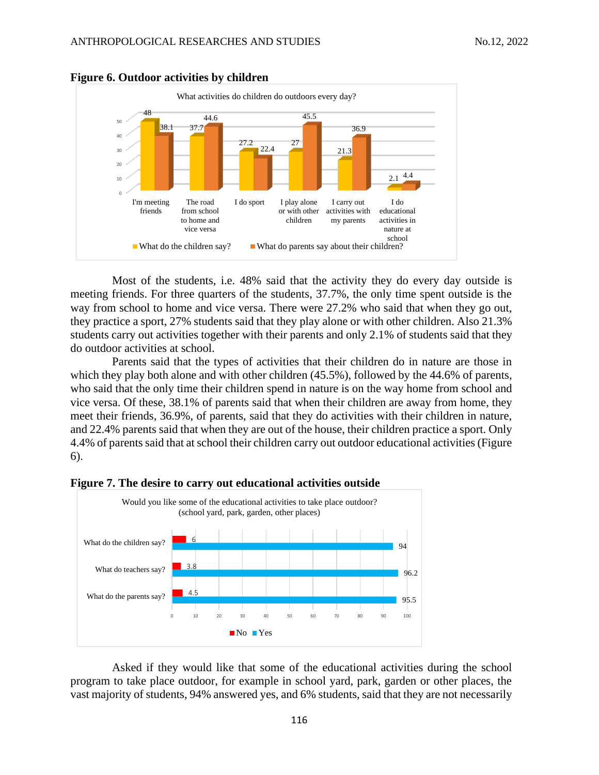

**Figure 6. Outdoor activities by children**

Most of the students, i.e. 48% said that the activity they do every day outside is meeting friends. For three quarters of the students, 37.7%, the only time spent outside is the way from school to home and vice versa. There were 27.2% who said that when they go out, they practice a sport, 27% students said that they play alone or with other children. Also 21.3% students carry out activities together with their parents and only 2.1% of students said that they do outdoor activities at school.

Parents said that the types of activities that their children do in nature are those in which they play both alone and with other children (45.5%), followed by the 44.6% of parents, who said that the only time their children spend in nature is on the way home from school and vice versa. Of these, 38.1% of parents said that when their children are away from home, they meet their friends, 36.9%, of parents, said that they do activities with their children in nature, and 22.4% parents said that when they are out of the house, their children practice a sport. Only 4.4% of parents said that at school their children carry out outdoor educational activities (Figure 6).



**Figure 7. The desire to carry out educational activities outside**

Asked if they would like that some of the educational activities during the school program to take place outdoor, for example in school yard, park, garden or other places, the vast majority of students, 94% answered yes, and 6% students, said that they are not necessarily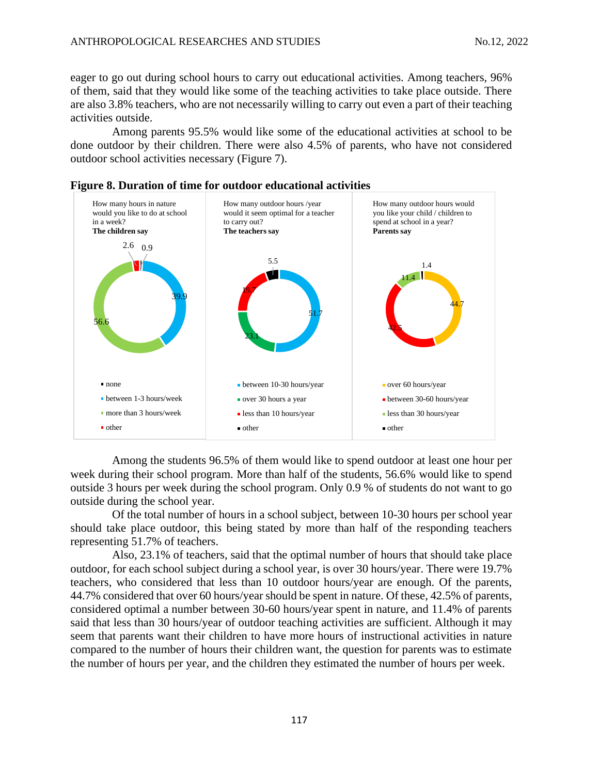eager to go out during school hours to carry out educational activities. Among teachers, 96% of them, said that they would like some of the teaching activities to take place outside. There are also 3.8% teachers, who are not necessarily willing to carry out even a part of their teaching activities outside.

Among parents 95.5% would like some of the educational activities at school to be done outdoor by their children. There were also 4.5% of parents, who have not considered outdoor school activities necessary (Figure 7).



**Figure 8. Duration of time for outdoor educational activities**

Among the students 96.5% of them would like to spend outdoor at least one hour per week during their school program. More than half of the students, 56.6% would like to spend outside 3 hours per week during the school program. Only 0.9 % of students do not want to go outside during the school year.

Of the total number of hours in a school subject, between 10-30 hours per school year should take place outdoor, this being stated by more than half of the responding teachers representing 51.7% of teachers.

Also, 23.1% of teachers, said that the optimal number of hours that should take place outdoor, for each school subject during a school year, is over 30 hours/year. There were 19.7% teachers, who considered that less than 10 outdoor hours/year are enough. Of the parents, 44.7% considered that over 60 hours/year should be spent in nature. Of these, 42.5% of parents, considered optimal a number between 30-60 hours/year spent in nature, and 11.4% of parents said that less than 30 hours/year of outdoor teaching activities are sufficient. Although it may seem that parents want their children to have more hours of instructional activities in nature compared to the number of hours their children want, the question for parents was to estimate the number of hours per year, and the children they estimated the number of hours per week.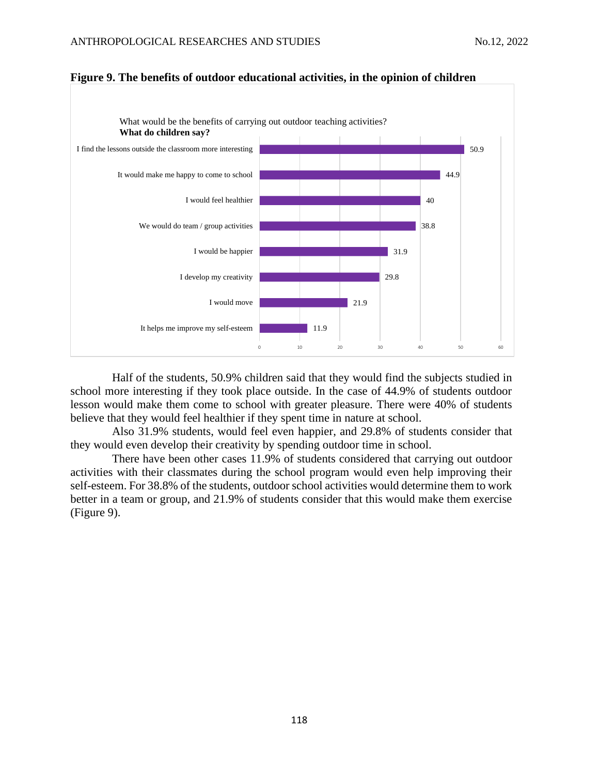

#### **Figure 9. The benefits of outdoor educational activities, in the opinion of children**

Half of the students, 50.9% children said that they would find the subjects studied in school more interesting if they took place outside. In the case of 44.9% of students outdoor lesson would make them come to school with greater pleasure. There were 40% of students believe that they would feel healthier if they spent time in nature at school.

Also 31.9% students, would feel even happier, and 29.8% of students consider that they would even develop their creativity by spending outdoor time in school.

There have been other cases 11.9% of students considered that carrying out outdoor activities with their classmates during the school program would even help improving their self-esteem. For 38.8% of the students, outdoor school activities would determine them to work better in a team or group, and 21.9% of students consider that this would make them exercise (Figure 9).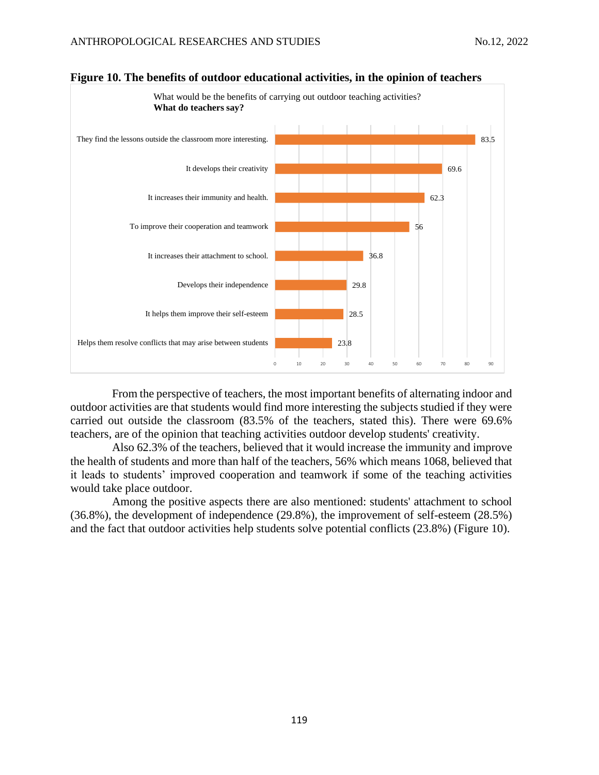

#### **Figure 10. The benefits of outdoor educational activities, in the opinion of teachers**

From the perspective of teachers, the most important benefits of alternating indoor and outdoor activities are that students would find more interesting the subjects studied if they were carried out outside the classroom (83.5% of the teachers, stated this). There were 69.6% teachers, are of the opinion that teaching activities outdoor develop students' creativity.

Also 62.3% of the teachers, believed that it would increase the immunity and improve the health of students and more than half of the teachers, 56% which means 1068, believed that it leads to students' improved cooperation and teamwork if some of the teaching activities would take place outdoor.

Among the positive aspects there are also mentioned: students' attachment to school (36.8%), the development of independence (29.8%), the improvement of self-esteem (28.5%) and the fact that outdoor activities help students solve potential conflicts (23.8%) (Figure 10).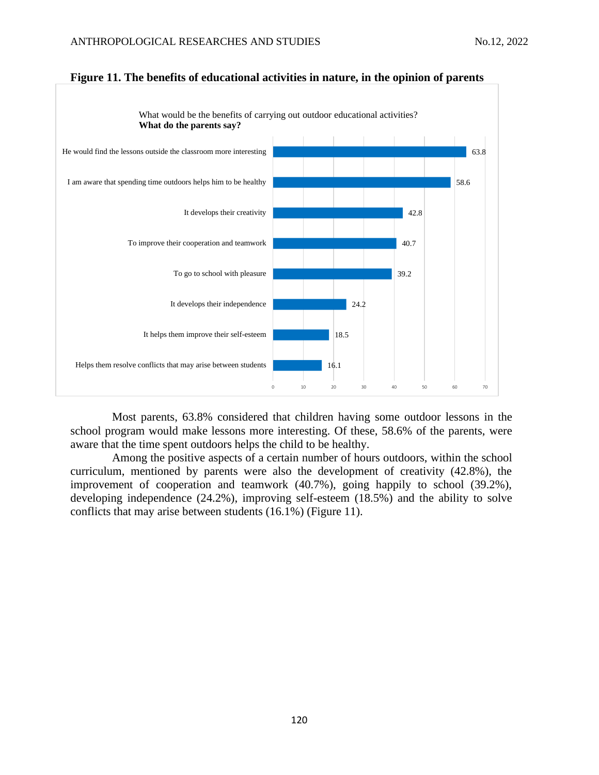

## **Figure 11. The benefits of educational activities in nature, in the opinion of parents**

Most parents, 63.8% considered that children having some outdoor lessons in the school program would make lessons more interesting. Of these, 58.6% of the parents, were aware that the time spent outdoors helps the child to be healthy.

Among the positive aspects of a certain number of hours outdoors, within the school curriculum, mentioned by parents were also the development of creativity (42.8%), the improvement of cooperation and teamwork (40.7%), going happily to school (39.2%), developing independence (24.2%), improving self-esteem (18.5%) and the ability to solve conflicts that may arise between students (16.1%) (Figure 11).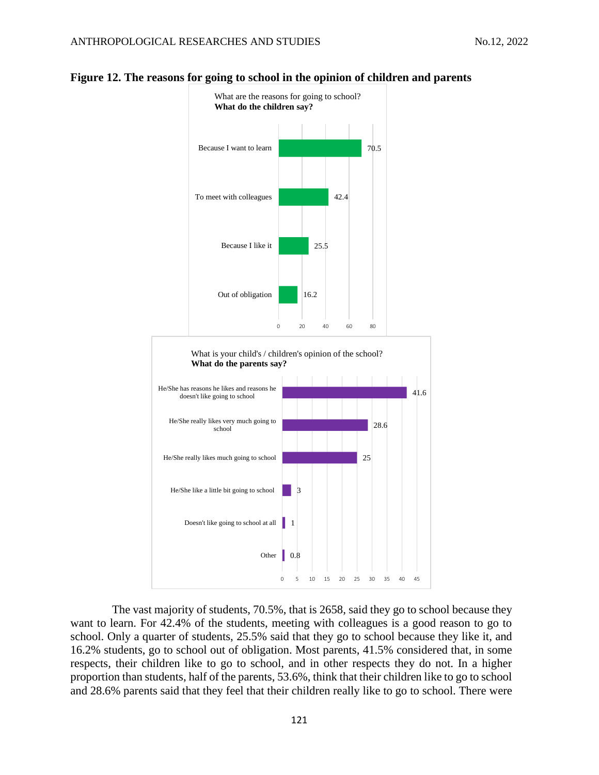

## **Figure 12. The reasons for going to school in the opinion of children and parents**

The vast majority of students, 70.5%, that is 2658, said they go to school because they want to learn. For 42.4% of the students, meeting with colleagues is a good reason to go to school. Only a quarter of students, 25.5% said that they go to school because they like it, and 16.2% students, go to school out of obligation. Most parents, 41.5% considered that, in some respects, their children like to go to school, and in other respects they do not. In a higher proportion than students, half of the parents, 53.6%, think that their children like to go to school and 28.6% parents said that they feel that their children really like to go to school. There were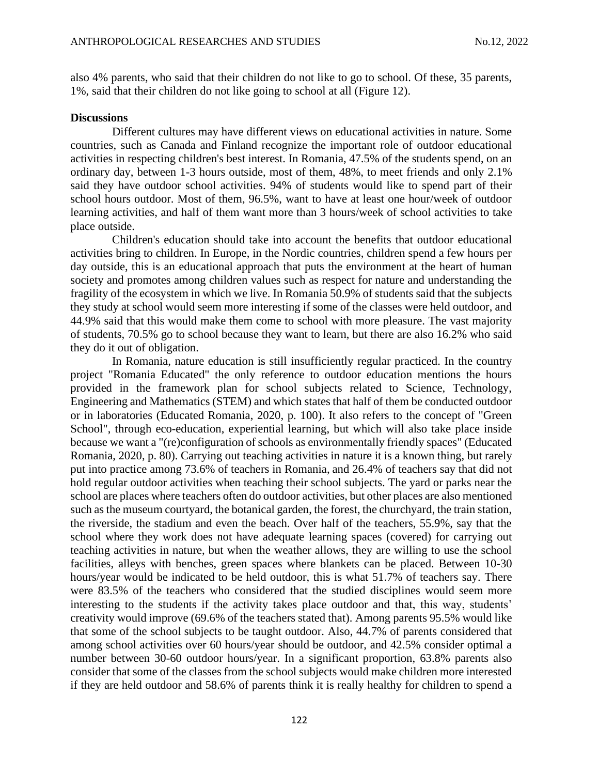also 4% parents, who said that their children do not like to go to school. Of these, 35 parents, 1%, said that their children do not like going to school at all (Figure 12).

#### **Discussions**

Different cultures may have different views on educational activities in nature. Some countries, such as Canada and Finland recognize the important role of outdoor educational activities in respecting children's best interest. In Romania, 47.5% of the students spend, on an ordinary day, between 1-3 hours outside, most of them, 48%, to meet friends and only 2.1% said they have outdoor school activities. 94% of students would like to spend part of their school hours outdoor. Most of them, 96.5%, want to have at least one hour/week of outdoor learning activities, and half of them want more than 3 hours/week of school activities to take place outside.

Children's education should take into account the benefits that outdoor educational activities bring to children. In Europe, in the Nordic countries, children spend a few hours per day outside, this is an educational approach that puts the environment at the heart of human society and promotes among children values such as respect for nature and understanding the fragility of the ecosystem in which we live. In Romania 50.9% of students said that the subjects they study at school would seem more interesting if some of the classes were held outdoor, and 44.9% said that this would make them come to school with more pleasure. The vast majority of students, 70.5% go to school because they want to learn, but there are also 16.2% who said they do it out of obligation.

In Romania, nature education is still insufficiently regular practiced. In the country project "Romania Educated" the only reference to outdoor education mentions the hours provided in the framework plan for school subjects related to Science, Technology, Engineering and Mathematics (STEM) and which states that half of them be conducted outdoor or in laboratories (Educated Romania, 2020, p. 100). It also refers to the concept of "Green School", through eco-education, experiential learning, but which will also take place inside because we want a "(re)configuration of schools as environmentally friendly spaces" (Educated Romania, 2020, p. 80). Carrying out teaching activities in nature it is a known thing, but rarely put into practice among 73.6% of teachers in Romania, and 26.4% of teachers say that did not hold regular outdoor activities when teaching their school subjects. The yard or parks near the school are places where teachers often do outdoor activities, but other places are also mentioned such as the museum courtyard, the botanical garden, the forest, the churchyard, the train station, the riverside, the stadium and even the beach. Over half of the teachers, 55.9%, say that the school where they work does not have adequate learning spaces (covered) for carrying out teaching activities in nature, but when the weather allows, they are willing to use the school facilities, alleys with benches, green spaces where blankets can be placed. Between 10-30 hours/year would be indicated to be held outdoor, this is what 51.7% of teachers say. There were 83.5% of the teachers who considered that the studied disciplines would seem more interesting to the students if the activity takes place outdoor and that, this way, students' creativity would improve (69.6% of the teachers stated that). Among parents 95.5% would like that some of the school subjects to be taught outdoor. Also, 44.7% of parents considered that among school activities over 60 hours/year should be outdoor, and 42.5% consider optimal a number between 30-60 outdoor hours/year. In a significant proportion, 63.8% parents also consider that some of the classes from the school subjects would make children more interested if they are held outdoor and 58.6% of parents think it is really healthy for children to spend a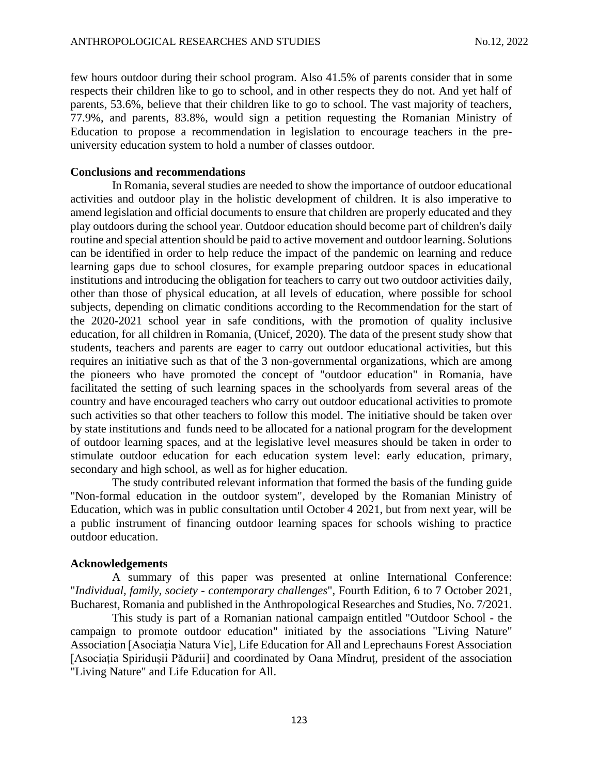few hours outdoor during their school program. Also 41.5% of parents consider that in some respects their children like to go to school, and in other respects they do not. And yet half of parents, 53.6%, believe that their children like to go to school. The vast majority of teachers, 77.9%, and parents, 83.8%, would sign a petition requesting the Romanian Ministry of Education to propose a recommendation in legislation to encourage teachers in the preuniversity education system to hold a number of classes outdoor.

#### **Conclusions and recommendations**

In Romania, several studies are needed to show the importance of outdoor educational activities and outdoor play in the holistic development of children. It is also imperative to amend legislation and official documents to ensure that children are properly educated and they play outdoors during the school year. Outdoor education should become part of children's daily routine and special attention should be paid to active movement and outdoor learning. Solutions can be identified in order to help reduce the impact of the pandemic on learning and reduce learning gaps due to school closures, for example preparing outdoor spaces in educational institutions and introducing the obligation for teachers to carry out two outdoor activities daily, other than those of physical education, at all levels of education, where possible for school subjects, depending on climatic conditions according to the Recommendation for the start of the 2020-2021 school year in safe conditions, with the promotion of quality inclusive education, for all children in Romania, (Unicef, 2020). The data of the present study show that students, teachers and parents are eager to carry out outdoor educational activities, but this requires an initiative such as that of the 3 non-governmental organizations, which are among the pioneers who have promoted the concept of "outdoor education" in Romania, have facilitated the setting of such learning spaces in the schoolyards from several areas of the country and have encouraged teachers who carry out outdoor educational activities to promote such activities so that other teachers to follow this model. The initiative should be taken over by state institutions and funds need to be allocated for a national program for the development of outdoor learning spaces, and at the legislative level measures should be taken in order to stimulate outdoor education for each education system level: early education, primary, secondary and high school, as well as for higher education.

The study contributed relevant information that formed the basis of the funding guide "Non-formal education in the outdoor system", developed by the Romanian Ministry of Education, which was in public consultation until October 4 2021, but from next year, will be a public instrument of financing outdoor learning spaces for schools wishing to practice outdoor education.

#### **Acknowledgements**

A summary of this paper was presented at online International Conference: "*Individual, family, society - contemporary challenges*", Fourth Edition, 6 to 7 October 2021, Bucharest, Romania and published in the Anthropological Researches and Studies, No. 7/2021.

This study is part of a Romanian national campaign entitled "Outdoor School - the campaign to promote outdoor education" initiated by the associations "Living Nature" Association [Asociația Natura Vie], Life Education for All and Leprechauns Forest Association [Asociația Spiridușii Pădurii] and coordinated by Oana Mîndruț, president of the association "Living Nature" and Life Education for All.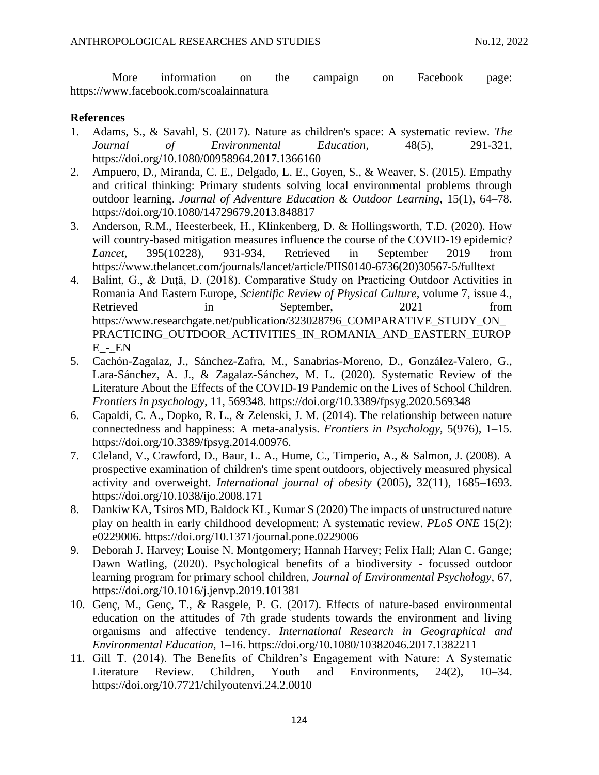More information on the campaign on Facebook page: <https://www.facebook.com/scoalainnatura>

## **References**

- 1. Adams, S., & Savahl, S. (2017). Nature as children's space: A systematic review. *The Journal of Environmental Education*, 48(5), 291-321, <https://doi.org/10.1080/00958964.2017.1366160>
- 2. Ampuero, D., Miranda, C. E., Delgado, L. E., Goyen, S., & Weaver, S. (2015). Empathy and critical thinking: Primary students solving local environmental problems through outdoor learning. *Journal of Adventure Education & Outdoor Learning*, 15(1), 64–78. <https://doi.org/10.1080/14729679.2013.848817>
- 3. Anderson, R.M., Heesterbeek, H., Klinkenberg, D. & Hollingsworth, T.D. (2020). How will country-based mitigation measures influence the course of the COVID-19 epidemic? *Lancet*, 395(10228), 931-934, Retrieved in September 2019 from [https://www.thelancet.com/journals/lancet/article/PIIS0140-6736\(20\)30567-5/fulltext](https://www.thelancet.com/journals/lancet/article/PIIS0140-6736(20)30567-5/fulltext)
- 4. Balint, G., & Duță, D. (2018). Comparative Study on Practicing Outdoor Activities in Romania And Eastern Europe, *Scientific Review of Physical Culture*, volume 7, issue 4., Retrieved in September, 2021 from [https://www.researchgate.net/publication/323028796\\_COMPARATIVE\\_STUDY\\_ON\\_](https://www.researchgate.net/publication/323028796_COMPARATIVE_STUDY_ON_PRACTICING_OUTDOOR_ACTIVITIES_IN_ROMANIA_AND_EASTERN_EUROPE_-_EN) [PRACTICING\\_OUTDOOR\\_ACTIVITIES\\_IN\\_ROMANIA\\_AND\\_EASTERN\\_EUROP](https://www.researchgate.net/publication/323028796_COMPARATIVE_STUDY_ON_PRACTICING_OUTDOOR_ACTIVITIES_IN_ROMANIA_AND_EASTERN_EUROPE_-_EN)  $E$  -  $EN$
- 5. Cachón-Zagalaz, J., Sánchez-Zafra, M., Sanabrias-Moreno, D., González-Valero, G., Lara-Sánchez, A. J., & Zagalaz-Sánchez, M. L. (2020). Systematic Review of the Literature About the Effects of the COVID-19 Pandemic on the Lives of School Children. *Frontiers in psychology*, 11, 569348.<https://doi.org/10.3389/fpsyg.2020.569348>
- 6. Capaldi, C. A., Dopko, R. L., & Zelenski, J. M. (2014). The relationship between nature connectedness and happiness: A meta-analysis. *Frontiers in Psychology*, 5(976), 1–15. [https://doi.org/10.3389/fpsyg.2014.00976.](https://doi.org/10.3389/fpsyg.2014.00976)
- 7. Cleland, V., Crawford, D., Baur, L. A., Hume, C., Timperio, A., & Salmon, J. (2008). A prospective examination of children's time spent outdoors, objectively measured physical activity and overweight. *International journal of obesity* (2005), 32(11), 1685–1693. <https://doi.org/10.1038/ijo.2008.171>
- 8. Dankiw KA, Tsiros MD, Baldock KL, Kumar S (2020) The impacts of unstructured nature play on health in early childhood development: A systematic review. *PLoS ONE* 15(2): e0229006.<https://doi.org/10.1371/journal.pone.0229006>
- 9. Deborah J. Harvey; Louise N. Montgomery; Hannah Harvey; Felix Hall; Alan C. Gange; Dawn Watling, (2020). Psychological benefits of a biodiversity - focussed outdoor learning program for primary school children, *Journal of Environmental Psychology*, 67, <https://doi.org/10.1016/j.jenvp.2019.101381>
- 10. Genç, M., Genç, T., & Rasgele, P. G. (2017). Effects of nature-based environmental education on the attitudes of 7th grade students towards the environment and living organisms and affective tendency. *International Research in Geographical and Environmental Education,* 1–16.<https://doi.org/10.1080/10382046.2017.1382211>
- 11. Gill T. (2014). The Benefits of Children's Engagement with Nature: A Systematic Literature Review. Children, Youth and Environments, 24(2), 10–34. <https://doi.org/10.7721/chilyoutenvi.24.2.0010>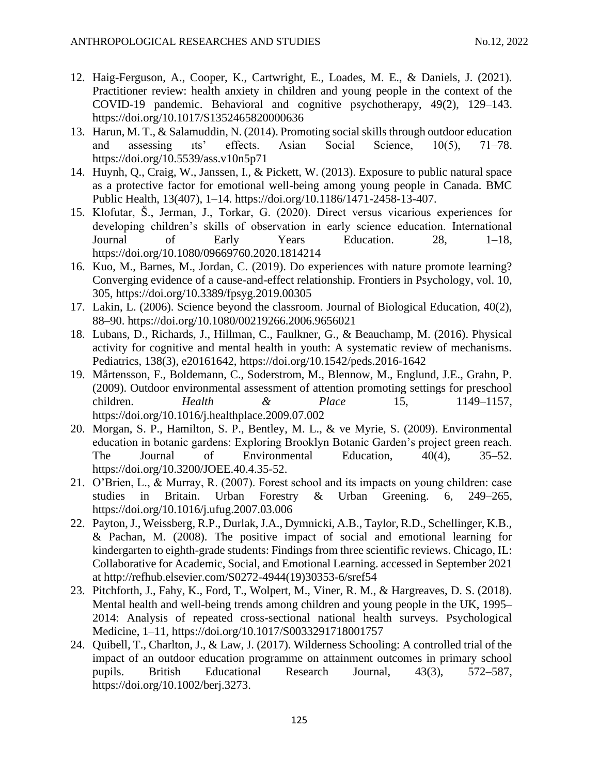- 12. Haig-Ferguson, A., Cooper, K., Cartwright, E., Loades, M. E., & Daniels, J. (2021). Practitioner review: health anxiety in children and young people in the context of the COVID-19 pandemic. Behavioral and cognitive psychotherapy, 49(2), 129–143. <https://doi.org/10.1017/S1352465820000636>
- 13. Harun, M. T., & Salamuddin, N. (2014). Promoting social skills through outdoor education and assessing ıts' effects. Asian Social Science, 10(5), 71–78. <https://doi.org/10.5539/ass.v10n5p71>
- 14. Huynh, Q., Craig, W., Janssen, I., & Pickett, W. (2013). Exposure to public natural space as a protective factor for emotional well-being among young people in Canada. BMC Public Health, 13(407), 1–14. [https://doi.org/10.1186/1471-2458-13-407.](https://doi.org/10.1186/1471-2458-13-407)
- 15. Klofutar, Š., Jerman, J., Torkar, G. (2020). Direct versus vicarious experiences for developing children's skills of observation in early science education. International Journal of Early Years Education. 28, 1–18, <https://doi.org/10.1080/09669760.2020.1814214>
- 16. Kuo, M., Barnes, M., Jordan, C. (2019). Do experiences with nature promote learning? Converging evidence of a cause-and-effect relationship. Frontiers in Psychology, vol. 10, 305,<https://doi.org/10.3389/fpsyg.2019.00305>
- 17. Lakin, L. (2006). Science beyond the classroom. Journal of Biological Education, 40(2), 88–90.<https://doi.org/10.1080/00219266.2006.9656021>
- 18. Lubans, D., Richards, J., Hillman, C., Faulkner, G., & Beauchamp, M. (2016). Physical activity for cognitive and mental health in youth: A systematic review of mechanisms. Pediatrics, 138(3), e20161642,<https://doi.org/10.1542/peds.2016-1642>
- 19. Mårtensson, F., Boldemann, C., Soderstrom, M., Blennow, M., Englund, J.E., Grahn, P. (2009). Outdoor environmental assessment of attention promoting settings for preschool children. *Health & Place* 15, 1149–1157, <https://doi.org/10.1016/j.healthplace.2009.07.002>
- 20. Morgan, S. P., Hamilton, S. P., Bentley, M. L., & ve Myrie, S. (2009). Environmental education in botanic gardens: Exploring Brooklyn Botanic Garden's project green reach. The Journal of Environmental Education, 40(4), 35–52. [https://doi.org/10.3200/JOEE.40.4.35-52.](https://doi.org/10.3200/JOEE.40.4.35-52)
- 21. O'Brien, L., & Murray, R. (2007). Forest school and its impacts on young children: case studies in Britain. Urban Forestry & Urban Greening. 6, 249–265, <https://doi.org/10.1016/j.ufug.2007.03.006>
- 22. Payton, J., Weissberg, R.P., Durlak, J.A., Dymnicki, A.B., Taylor, R.D., Schellinger, K.B., & Pachan, M. (2008). The positive impact of social and emotional learning for kindergarten to eighth-grade students: Findings from three scientific reviews. Chicago, IL: Collaborative for Academic, Social, and Emotional Learning. accessed in September 2021 at [http://refhub.elsevier.com/S0272-4944\(19\)30353-6/sref54](http://refhub.elsevier.com/S0272-4944(19)30353-6/sref54)
- 23. Pitchforth, J., Fahy, K., Ford, T., Wolpert, M., Viner, R. M., & Hargreaves, D. S. (2018). Mental health and well-being trends among children and young people in the UK, 1995– 2014: Analysis of repeated cross-sectional national health surveys. Psychological Medicine, 1–11,<https://doi.org/10.1017/S0033291718001757>
- 24. Quibell, T., Charlton, J., & Law, J. (2017). Wilderness Schooling: A controlled trial of the impact of an outdoor education programme on attainment outcomes in primary school pupils. British Educational Research Journal, 43(3), 572–587, [https://doi.org/10.1002/berj.3273.](https://doi.org/10.1002/berj.3273)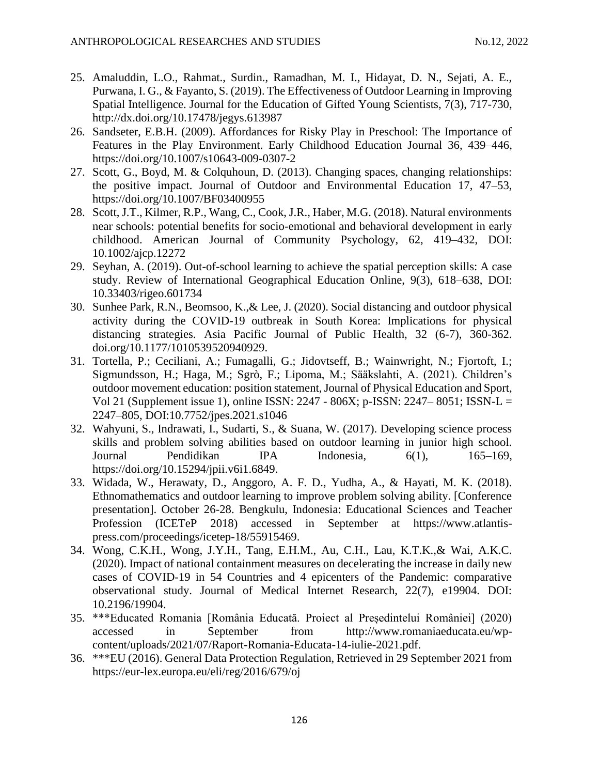- 25. Amaluddin, L.O., Rahmat., Surdin., Ramadhan, M. I., Hidayat, D. N., Sejati, A. E., Purwana, I. G., & Fayanto, S. (2019). The Effectiveness of Outdoor Learning in Improving Spatial Intelligence. Journal for the Education of Gifted Young Scientists, 7(3), 717-730, <http://dx.doi.org/10.17478/jegys.613987>
- 26. Sandseter, E.B.H. (2009). Affordances for Risky Play in Preschool: The Importance of Features in the Play Environment. Early Childhood Education Journal 36, 439–446, <https://doi.org/10.1007/s10643-009-0307-2>
- 27. Scott, G., Boyd, M. & Colquhoun, D. (2013). Changing spaces, changing relationships: the positive impact. Journal of Outdoor and Environmental Education 17, 47–53, <https://doi.org/10.1007/BF03400955>
- 28. Scott, J.T., Kilmer, R.P., Wang, C., Cook, J.R., Haber, M.G. (2018). Natural environments near schools: potential benefits for socio-emotional and behavioral development in early childhood. American Journal of Community Psychology, 62, 419–432, DOI: 10.1002/ajcp.12272
- 29. Seyhan, A. (2019). Out-of-school learning to achieve the spatial perception skills: A case study. Review of International Geographical Education Online, 9(3), 618–638, DOI: 10.33403/rigeo.601734
- 30. Sunhee Park, R.N., Beomsoo, K.,& Lee, J. (2020). Social distancing and outdoor physical activity during the COVID-19 outbreak in South Korea: Implications for physical distancing strategies. Asia Pacific Journal of Public Health, 32 (6-7), 360-362. doi.org/10.1177/1010539520940929.
- 31. Tortella, P.; Ceciliani, A.; Fumagalli, G.; Jidovtseff, B.; Wainwright, N.; Fjortoft, I.; Sigmundsson, H.; Haga, M.; Sgrò, F.; Lipoma, M.; Sääkslahti, A. (2021). Children's outdoor movement education: position statement, Journal of Physical Education and Sport, Vol 21 (Supplement issue 1), online ISSN: 2247 - 806X; p-ISSN: 2247– 8051; ISSN-L = 2247–805, DOI:10.7752/jpes.2021.s1046
- 32. Wahyuni, S., Indrawati, I., Sudarti, S., & Suana, W. (2017). Developing science process skills and problem solving abilities based on outdoor learning in junior high school. Journal Pendidikan IPA Indonesia, 6(1), 165–169, [https://doi.org/10.15294/jpii.v6i1.6849.](https://doi.org/10.15294/jpii.v6i1.6849)
- 33. Widada, W., Herawaty, D., Anggoro, A. F. D., Yudha, A., & Hayati, M. K. (2018). Ethnomathematics and outdoor learning to improve problem solving ability. [Conference presentation]. October 26-28. Bengkulu, Indonesia: Educational Sciences and Teacher Profession (ICETeP 2018) accessed in September at [https://www.atlantis](https://www.atlantis-press.com/proceedings/icetep-18/55915469)[press.com/proceedings/icetep-18/55915469.](https://www.atlantis-press.com/proceedings/icetep-18/55915469)
- 34. Wong, C.K.H., Wong, J.Y.H., Tang, E.H.M., Au, C.H., Lau, K.T.K.,& Wai, A.K.C. (2020). Impact of national containment measures on decelerating the increase in daily new cases of COVID-19 in 54 Countries and 4 epicenters of the Pandemic: comparative observational study. Journal of Medical Internet Research, 22(7), e19904. DOI: 10.2196/19904.
- 35. \*\*\*Educated Romania [România Educată. Proiect al Președintelui României] (2020) accessed in September from [http://www.romaniaeducata.eu/wp](http://www.romaniaeducata.eu/wp-content/uploads/2021/07/Raport-Romania-Educata-14-iulie-2021.pdf)[content/uploads/2021/07/Raport-Romania-Educata-14-iulie-2021.pdf.](http://www.romaniaeducata.eu/wp-content/uploads/2021/07/Raport-Romania-Educata-14-iulie-2021.pdf)
- 36. \*\*\*EU (2016). General Data Protection Regulation, Retrieved in 29 September 2021 from <https://eur-lex.europa.eu/eli/reg/2016/679/oj>